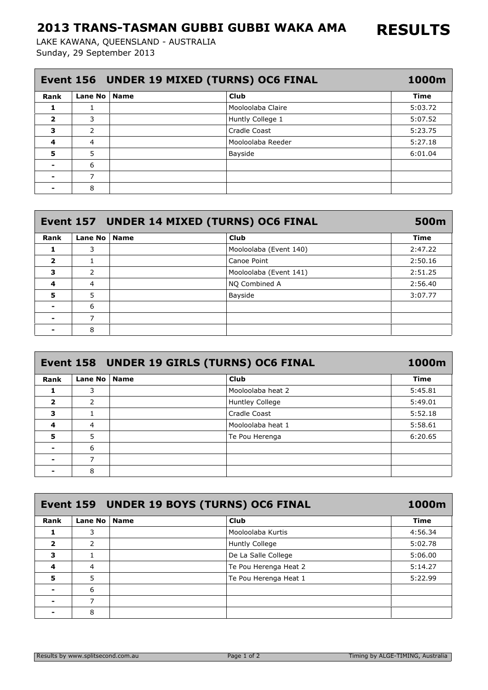## 2013 TRANS-TASMAN GUBBI GUBBI WAKA AMA

Sunday, 29 September 2013 LAKE KAWANA, QUEENSLAND - AUSTRALIA

| Event 156 UNDER 19 MIXED (TURNS) OC6 FINAL |                |  |                   |             |
|--------------------------------------------|----------------|--|-------------------|-------------|
| <b>Rank</b>                                | Lane No   Name |  | <b>Club</b>       | <b>Time</b> |
|                                            |                |  | Mooloolaba Claire | 5:03.72     |
| $\overline{\mathbf{2}}$                    | 3              |  | Huntly College 1  | 5:07.52     |
| 3                                          | 2              |  | Cradle Coast      | 5:23.75     |
| 4                                          | 4              |  | Mooloolaba Reeder | 5:27.18     |
| 5                                          | 5              |  | Bayside           | 6:01.04     |
|                                            | 6              |  |                   |             |
|                                            |                |  |                   |             |
|                                            | 8              |  |                   |             |

| Event 157 UNDER 14 MIXED (TURNS) OC6 FINAL |                |  |                        |             |
|--------------------------------------------|----------------|--|------------------------|-------------|
| Rank                                       | Lane No   Name |  | <b>Club</b>            | <b>Time</b> |
|                                            | 3              |  | Mooloolaba (Event 140) | 2:47.22     |
| $\overline{\mathbf{2}}$                    |                |  | Canoe Point            | 2:50.16     |
| 3                                          | 2              |  | Mooloolaba (Event 141) | 2:51.25     |
| 4                                          | 4              |  | NO Combined A          | 2:56.40     |
| 5                                          | 5              |  | Bayside                | 3:07.77     |
|                                            | 6              |  |                        |             |
| $\blacksquare$                             |                |  |                        |             |
|                                            | 8              |  |                        |             |

| Event 158 UNDER 19 GIRLS (TURNS) OC6 FINAL<br>1000m |                |  |                   |             |
|-----------------------------------------------------|----------------|--|-------------------|-------------|
| Rank                                                | Lane No   Name |  | Club              | <b>Time</b> |
|                                                     | 3              |  | Mooloolaba heat 2 | 5:45.81     |
| $\overline{\mathbf{2}}$                             | 2              |  | Huntley College   | 5:49.01     |
| 3                                                   |                |  | Cradle Coast      | 5:52.18     |
| 4                                                   | 4              |  | Mooloolaba heat 1 | 5:58.61     |
| 5                                                   | 5              |  | Te Pou Herenga    | 6:20.65     |
|                                                     | 6              |  |                   |             |
|                                                     | 7              |  |                   |             |
|                                                     | 8              |  |                   |             |

| Event 159 UNDER 19 BOYS (TURNS) OC6 FINAL |                |  |                       |             |
|-------------------------------------------|----------------|--|-----------------------|-------------|
| Rank                                      | Lane No   Name |  | Club                  | <b>Time</b> |
| 1                                         | 3              |  | Mooloolaba Kurtis     | 4:56.34     |
| $\overline{\mathbf{2}}$                   | 2              |  | <b>Huntly College</b> | 5:02.78     |
| 3                                         |                |  | De La Salle College   | 5:06.00     |
| 4                                         | $\overline{4}$ |  | Te Pou Herenga Heat 2 | 5:14.27     |
| 5                                         | 5              |  | Te Pou Herenga Heat 1 | 5:22.99     |
|                                           | 6              |  |                       |             |
|                                           |                |  |                       |             |
|                                           | 8              |  |                       |             |

RESULTS